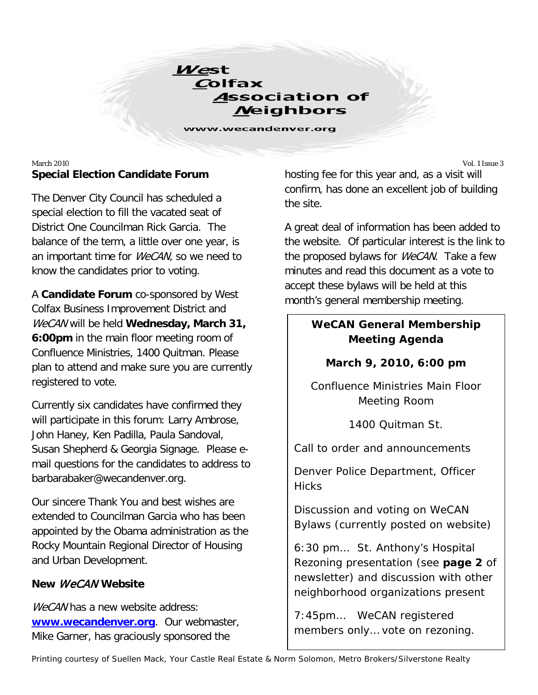

www.wecandenver.org

### March 2010 Vol. 1 Issue 3 **Special Election Candidate Forum**

The Denver City Council has scheduled a special election to fill the vacated seat of District One Councilman Rick Garcia. The balance of the term, a little over one year, is an important time for *WeCAN*, so we need to know the candidates prior to voting.

A **Candidate Forum** co-sponsored by West Colfax Business Improvement District and WeCAN will be held **Wednesday, March 31, 6:00pm** in the main floor meeting room of Confluence Ministries, 1400 Quitman. Please plan to attend and make sure you are currently registered to vote.

Currently six candidates have confirmed they will participate in this forum: Larry Ambrose, John Haney, Ken Padilla, Paula Sandoval, Susan Shepherd & Georgia Signage. Please email questions for the candidates to address to barbarabaker@wecandenver.org.

Our sincere Thank You and best wishes are extended to Councilman Garcia who has been appointed by the Obama administration as the Rocky Mountain Regional Director of Housing and Urban Development.

### **New** WeCAN **Website**

WeCAN has a new website address: **[www.wecandenver.org](http://www.wecandenver.org/)**. Our webmaster, Mike Garner, has graciously sponsored the

hosting fee for this year and, as a visit will confirm, has done an excellent job of building the site.

A great deal of information has been added to the website. Of particular interest is the link to the proposed bylaws for *WeCAN*. Take a few minutes and read this document as a vote to accept these bylaws will be held at this month's general membership meeting.

# *WeCAN* **General Membership Meeting Agenda**

## **March 9, 2010, 6:00 pm**

Confluence Ministries Main Floor Meeting Room

1400 Quitman St.

Call to order and announcements

Denver Police Department, Officer **Hicks** 

Discussion and voting on WeCAN Bylaws (currently posted on website)

6:30 pm… St. Anthony's Hospital Rezoning presentation (see **page 2** of newsletter) and discussion with other neighborhood organizations present

7:45pm… WeCAN registered members only… vote on rezoning.

Printing courtesy of Suellen Mack, Your Castle Real Estate & Norm Solomon, Metro Brokers/Silverstone Realty